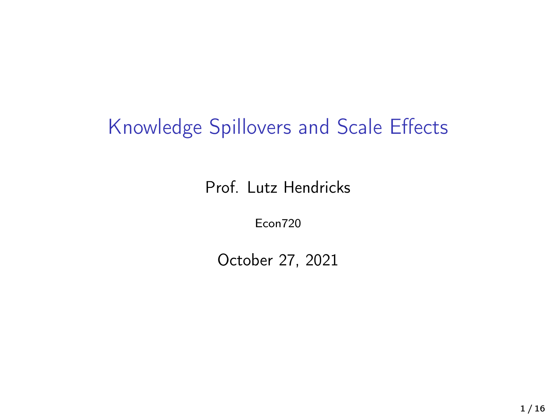### Knowledge Spillovers and Scale Effects

Prof. Lutz Hendricks

Econ720

October 27, 2021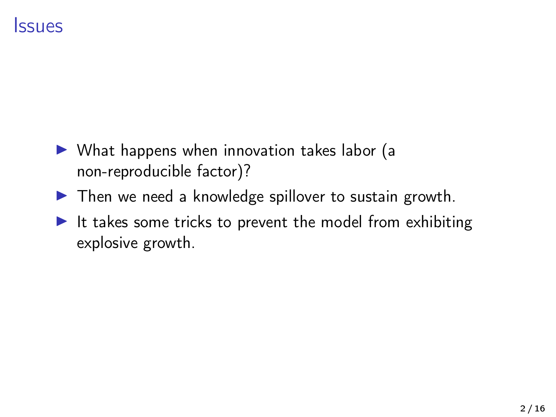### Issues

- $\triangleright$  What happens when innovation takes labor (a non-reproducible factor)?
- $\blacktriangleright$  Then we need a knowledge spillover to sustain growth.
- It takes some tricks to prevent the model from exhibiting explosive growth.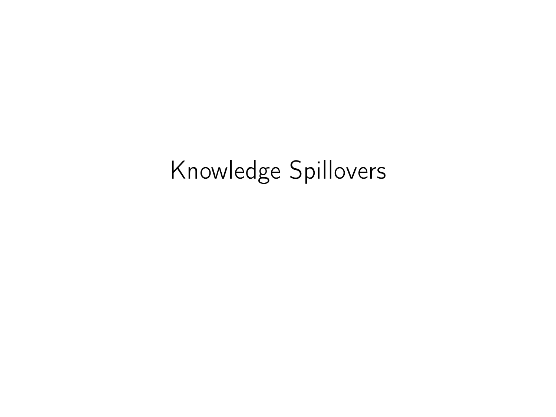# Knowledge Spillovers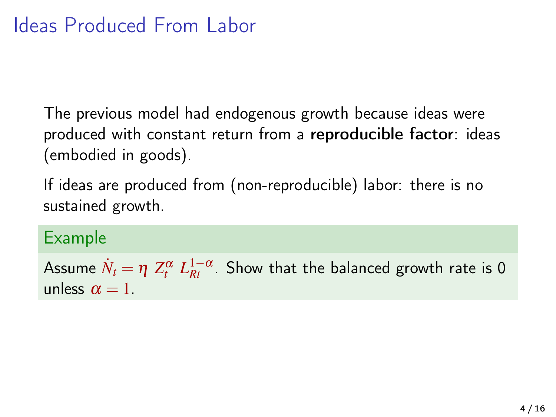The previous model had endogenous growth because ideas were produced with constant return from a reproducible factor: ideas (embodied in goods).

If ideas are produced from (non-reproducible) labor: there is no sustained growth.

#### Example

Assume  $\dot{N}_t = \eta \; Z^{\alpha}_t \; L_{Rt}^{1-\alpha}$ . Show that the balanced growth rate is 0 unless  $\alpha = 1$ .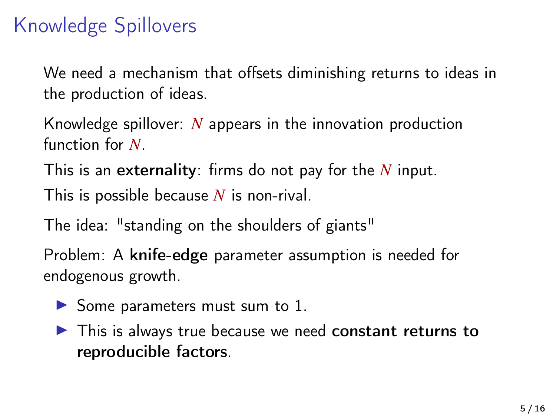### Knowledge Spillovers

We need a mechanism that offsets diminishing returns to ideas in the production of ideas.

Knowledge spillover: *N* appears in the innovation production function for *N*.

This is an externality: firms do not pay for the *N* input.

This is possible because *N* is non-rival.

The idea: "standing on the shoulders of giants"

Problem: A knife-edge parameter assumption is needed for endogenous growth.

- $\triangleright$  Some parameters must sum to 1.
- $\blacktriangleright$  This is always true because we need constant returns to reproducible factors.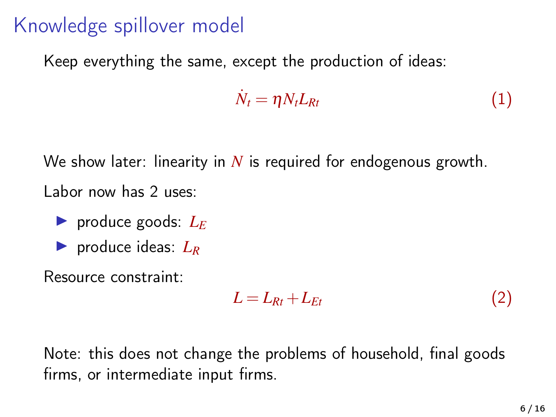### Knowledge spillover model

Keep everything the same, except the production of ideas:

$$
\dot{N}_t = \eta N_t L_{Rt} \tag{1}
$$

We show later: linearity in *N* is required for endogenous growth. Labor now has 2 uses:

**I** produce goods:  $L_E$ 

 $\blacktriangleright$  produce ideas:  $L_R$ 

Resource constraint:

$$
L = L_{Rt} + L_{Et} \tag{2}
$$

Note: this does not change the problems of household, final goods firms, or intermediate input firms.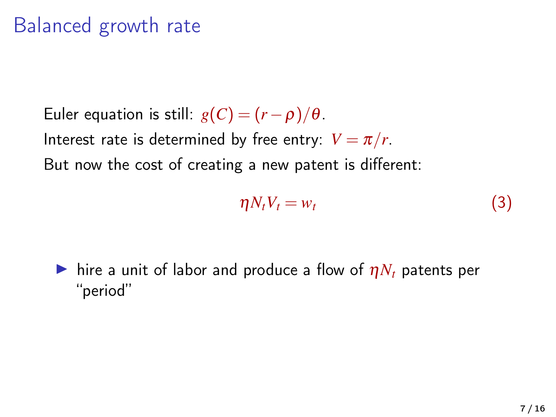### Balanced growth rate

Euler equation is still:  $g(C) = (r - \rho)/\theta$ . Interest rate is determined by free entry:  $V = \pi/r$ . But now the cost of creating a new patent is different:

$$
\eta N_t V_t = w_t \tag{3}
$$

 $\blacktriangleright$  hire a unit of labor and produce a flow of  $\eta N_t$  patents per "period"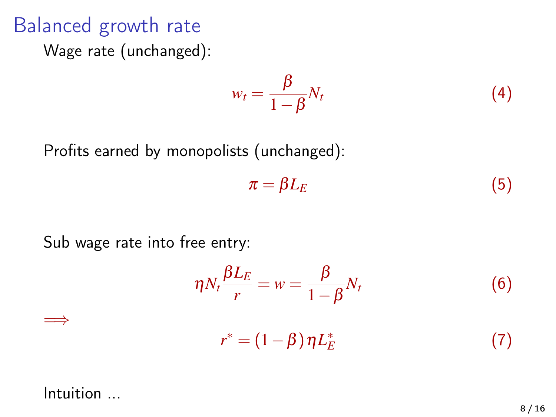### Balanced growth rate

Wage rate (unchanged):

$$
w_t = \frac{\beta}{1 - \beta} N_t \tag{4}
$$

Profits earned by monopolists (unchanged):

$$
\pi = \beta L_E \tag{5}
$$

Sub wage rate into free entry:

$$
\eta N_t \frac{\beta L_E}{r} = w = \frac{\beta}{1 - \beta} N_t
$$
\n
$$
r^* = (1 - \beta) \eta L_E^*
$$
\n(7)

#### Intuition ...

=⇒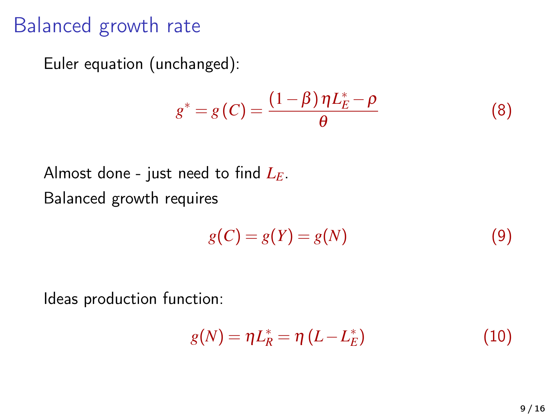### Balanced growth rate

Euler equation (unchanged):

$$
g^* = g(C) = \frac{(1 - \beta)\eta L_E^* - \rho}{\theta} \tag{8}
$$

Almost done - just need to find *LE*. Balanced growth requires

$$
g(C) = g(Y) = g(N)
$$
\n(9)

Ideas production function:

$$
g(N) = \eta L_R^* = \eta (L - L_E^*)
$$
\n(10)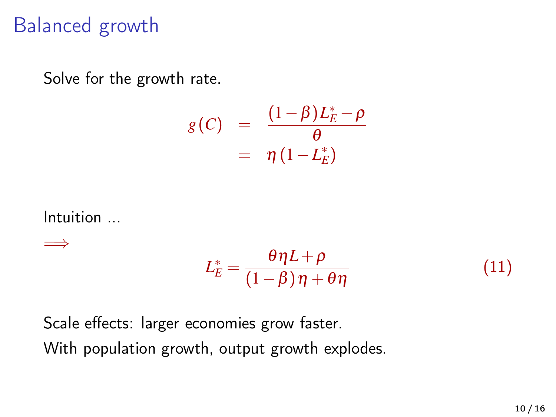### Balanced growth

Solve for the growth rate.

$$
g(C) = \frac{(1-\beta)L_E^* - \rho}{\theta}
$$
  
=  $\eta (1-L_E^*)$ 

Intuition ...

=⇒

$$
L_E^* = \frac{\theta \eta L + \rho}{(1 - \beta)\eta + \theta \eta} \tag{11}
$$

Scale effects: larger economies grow faster. With population growth, output growth explodes.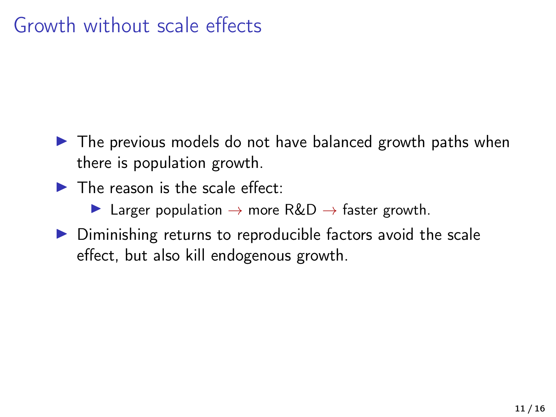### Growth without scale effects

- $\blacktriangleright$  The previous models do not have balanced growth paths when there is population growth.
- $\blacktriangleright$  The reason is the scale effect:
	- $\triangleright$  Larger population  $\rightarrow$  more R&D  $\rightarrow$  faster growth.
- $\triangleright$  Diminishing returns to reproducible factors avoid the scale effect, but also kill endogenous growth.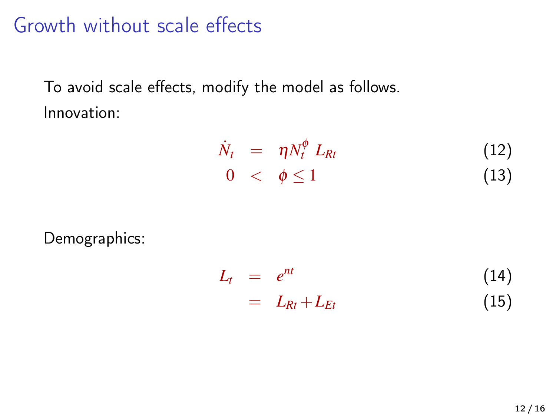### Growth without scale effects

To avoid scale effects, modify the model as follows. Innovation:

$$
\dot{N}_t = \eta N_t^{\phi} L_{Rt} \tag{12}
$$
\n
$$
0 < \phi \le 1 \tag{13}
$$

Demographics:

$$
L_t = e^{nt}
$$
  
=  $L_{Rt} + L_{Et}$  (14)  
(15)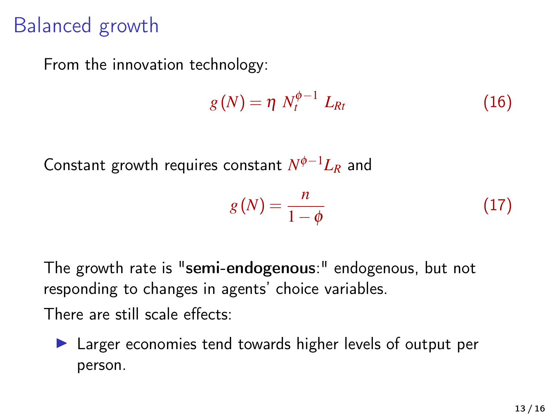### Balanced growth

From the innovation technology:

$$
g(N) = \eta N_t^{\phi - 1} L_{Rt}
$$
 (16)

Constant growth requires constant *N* <sup>φ</sup>−1*L<sup>R</sup>* and

$$
g(N) = \frac{n}{1 - \phi} \tag{17}
$$

The growth rate is "semi-endogenous:" endogenous, but not responding to changes in agents' choice variables. There are still scale effects:

 $\blacktriangleright$  Larger economies tend towards higher levels of output per person.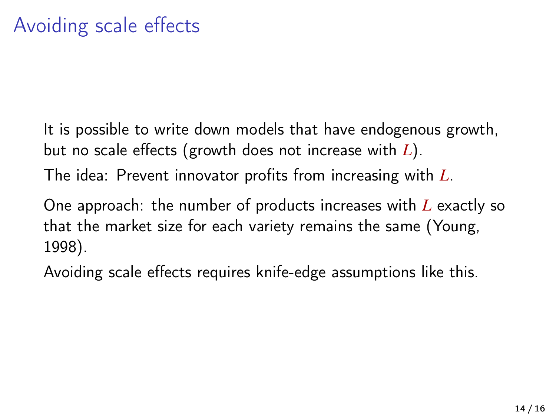It is possible to write down models that have endogenous growth, but no scale effects (growth does not increase with *L*). The idea: Prevent innovator profits from increasing with *L*.

One approach: the number of products increases with *L* exactly so that the market size for each variety remains the same [\(Young,](#page-15-0) [1998\)](#page-15-0).

Avoiding scale effects requires knife-edge assumptions like this.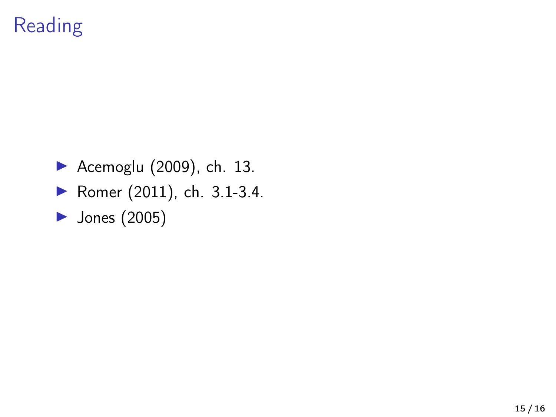## Reading

- $\blacktriangleright$  [Acemoglu \(2009\)](#page-15-1), ch. 13.
- ▶ [Romer \(2011\)](#page-15-2), ch. 3.1-3.4.
- $\blacktriangleright$  [Jones \(2005\)](#page-15-3)